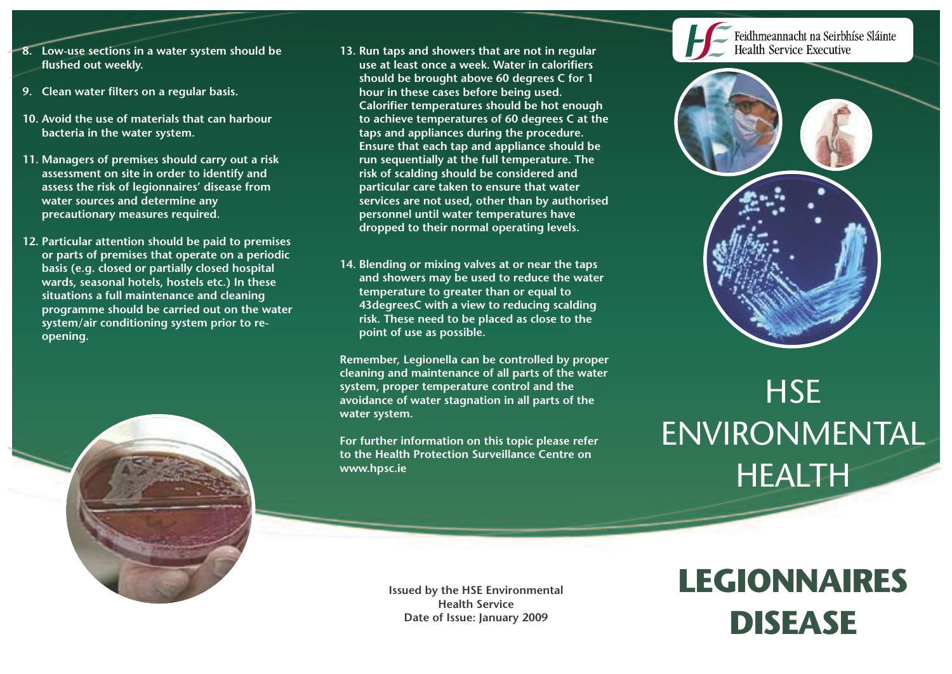- **8. Low-use sections in a water system should be flushed out weekly.**
- **9. Clean water filters on a regular basis.**
- **10. Avoid the use of materials that can harbour bacteria in the water system.**
- **11. Managers of premises should carry out a risk assessment on site in order to identify and assess the risk of legionnaires' disease from water sources and determine any precautionary measures required.**
- **12. Particular attention should be paid to premises or parts of premises that operate on a periodic basis (e.g. closed or partially closed hospital wards, seasonal hotels, hostels etc.) In these situations a full maintenance and cleaning programme should be carried out on the water system/air conditioning system prior to reopening.**



- **13. Run taps and showers that are not in regular use at least once a week. Water in calorifiers should be brought above 60 degrees C for 1 hour in these cases before being used. Calorifier temperatures should be hot enough to achieve temperatures of 60 degrees C at the taps and appliances during the procedure. Ensure that each tap and appliance should be run sequentially at the full temperature. The risk of scalding should be considered and particular care taken to ensure that water services are not used, other than by authorised personnel until water temperatures have dropped to their normal operating levels.**
- **14. Blending or mixing valves at or near the taps and showers may be used to reduce the water temperature to greater than or equal to 43degreesC with a view to reducing scalding risk. These need to be placed as close to the point of use as possible.**

**Remember, Legionella can be controlled by proper cleaning and maintenance of all parts of the water system, proper temperature control and the avoidance of water stagnation in all parts of the water system.**

**For further information on this topic please refer to the Health Protection Surveillance Centre on www.hpsc.ie**

Feidhmeannacht na Seirbhíse Sláinte **Health Service Executive** 



# **HSE** ENVIRONMENTAL HEALTH

**Issued by the HSE Environmental Health Service Date of Issue: January 2009**

## **LEGIONNAIRES DISEASE**